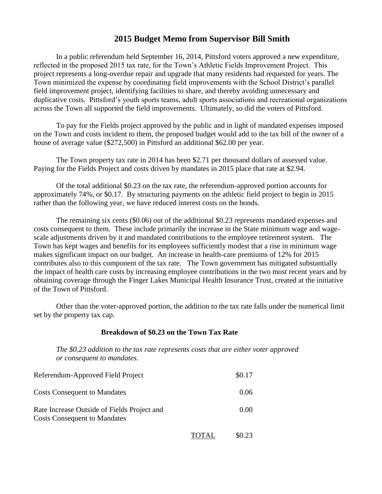## **2015 Budget Memo from Supervisor Bill Smith**

In a public referendum held September 16, 2014, Pittsford voters approved a new expenditure, reflected in the proposed 2015 tax rate, for the Town's Athletic Fields Improvement Project. This project represents a long-overdue repair and upgrade that many residents had requested for years. The Town minimized the expense by coordinating field improvements with the School District's parallel field improvement project, identifying facilities to share, and thereby avoiding unnecessary and duplicative costs. Pittsford's youth sports teams, adult sports associations and recreational organizations across the Town all supported the field improvements. Ultimately, so did the voters of Pittsford.

To pay for the Fields project approved by the public and in light of mandated expenses imposed on the Town and costs incident to them, the proposed budget would add to the tax bill of the owner of a house of average value (\$272,500) in Pittsford an additional \$62.00 per year.

The Town property tax rate in 2014 has been \$2.71 per thousand dollars of assessed value. Paying for the Fields Project and costs driven by mandates in 2015 place that rate at \$2.94.

Of the total additional \$0.23 on the tax rate, the referendum-approved portion accounts for approximately 74%, or \$0.17. By structuring payments on the athletic field project to begin in 2015 rather than the following year, we have reduced interest costs on the bonds.

The remaining six cents (\$0.06) out of the additional \$0.23 represents mandated expenses and costs consequent to them. These include primarily the increase in the State minimum wage and wagescale adjustments driven by it and mandated contributions to the employee retirement system. The Town has kept wages and benefits for its employees sufficiently modest that a rise in minimum wage makes significant impact on our budget. An increase in health-care premiums of 12% for 2015 contributes also to this component of the tax rate. The Town government has mitigated substantially the impact of health care costs by increasing employee contributions in the two most recent years and by obtaining coverage through the Finger Lakes Municipal Health Insurance Trust, created at the initiative of the Town of Pittsford.

Other than the voter-approved portion, the addition to the tax rate falls under the numerical limit set by the property tax cap.

## **Breakdown of \$0.23 on the Town Tax Rate**

*The \$0.23 addition to the tax rate represents costs that are either voter approved or consequent to mandates.* 

| Referendum-Approved Field Project                                                  |       | \$0.17 |
|------------------------------------------------------------------------------------|-------|--------|
| <b>Costs Consequent to Mandates</b>                                                |       | 0.06   |
| Rate Increase Outside of Fields Project and<br><b>Costs Consequent to Mandates</b> |       | (0.00) |
|                                                                                    | TOTAL | \$0.23 |